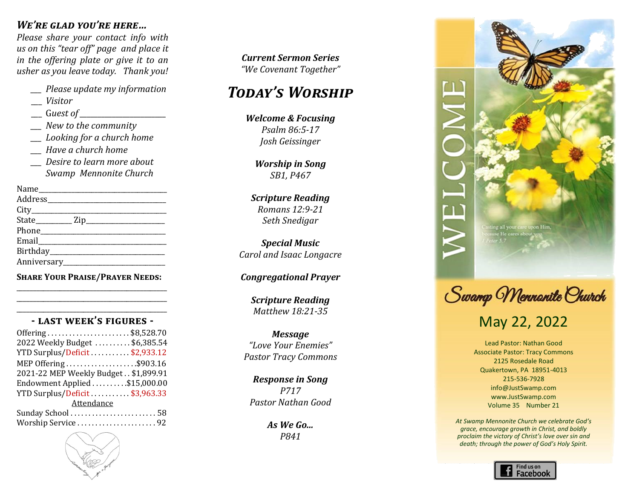### *We're glad you're here…*

*Please share your contact info with us on this "tear off" page and place it in the offering plate or give it to an usher as you leave today. Thank you!*

- *\_\_\_ Please update my information*
- \_\_\_ *Visitor*
- \_\_\_ G*uest of \_\_\_\_\_\_\_\_\_\_\_\_\_\_\_\_\_\_\_\_\_\_\_\_*
- *\_\_\_ New to the community*
- *\_\_\_ Looking for a church home*
- *\_\_\_ Have a church home*
- *\_\_\_ Desire to learn more about Swamp Mennonite Church*

**Share Your Praise/Prayer Needs:** \_\_\_\_\_\_\_\_\_\_\_\_\_\_\_\_\_\_\_\_\_\_\_\_\_\_\_\_\_\_\_\_\_\_\_\_\_\_\_\_\_\_\_\_\_

#### \_\_\_\_\_\_\_\_\_\_\_\_\_\_\_\_\_\_\_\_\_\_\_\_\_\_\_\_\_\_\_\_\_\_\_\_\_\_\_\_\_\_\_\_\_ **- last week's figures -**

\_\_\_\_\_\_\_\_\_\_\_\_\_\_\_\_\_\_\_\_\_\_\_\_\_\_\_\_\_\_\_\_\_\_\_\_\_\_\_\_\_\_\_\_\_

| Offering\$8,528.70                   |  |  |
|--------------------------------------|--|--|
| 2022 Weekly Budget \$6,385.54        |  |  |
| YTD Surplus/Deficit\$2,933.12        |  |  |
| MEP Offering\$903.16                 |  |  |
| 2021-22 MEP Weekly Budget \$1,899.91 |  |  |
| Endowment Applied \$15,000.00        |  |  |
| YTD Surplus/Deficit\$3,963.33        |  |  |
| Attendance                           |  |  |
|                                      |  |  |
| Worship Service 92                   |  |  |



*Today's Worship Today's Worship Celebrating Our Life Together "We Covenant Together" Today's Worship Current Sermon Series Marlin Clemmer*

#### *Call to Worship Praise Team Welcome & Focusing Worship Focusing Today's Worship Isaiah 55:6-9, 56:1-2 "Growing Together in Christ"*

*Welcome & Focusing Lowell Gehman & Psalm 86:5-17 Worship in Song Worship in Song SB54, B521 Josh Geissinger Will Sadler Isaiah 55:6-9, 56:1-2 Welcome & Focusing Worship in Song Psalm 86:5-17*

*Congregational Prayer Praise Team Marlin Clemmer Celebrating Our Life Together SB1, P467 Scripture Reading Jonah 4:5-9, 2 Corinthians 4:7-12 Worship in Song*

*Celebrating Our Life Together Congregational Prayer Steve & Cindy Weaver "Before the Throne of God Above Scripture Reading Children's Time Laura Rush Offertory Carol Longacre Celebrating Our Life Together Arr. by Joshua Evanozich Seth Snedigar w/ In Christ Alone" Romans 12:9-21 Leah Rush and Carol Longacre*

*Special Music Johanna Ziegler Offertory 1 Kings 18-19 Carol and Isaac Longacre Congregational Prayer Childrens Time Special Music*

#### *Scripture Reading 2 Timothy 2:8-13 Barry Gehman Congregational Prayer*

*Message "Promises: Trusting the God Who Scripture Reading Teena Gehman Scripture Reading Matthew 24:26-44; Romans 13:11-44 Congregational Prayer Matthew 18:21-35*

*Pastor Verle A. Brubaker Response in Song Message Message Isaiah 11:1-10 and Romans 15:4-13 "The Mystery of God in Our Present" Pastor Verle A. Brubaker "Love Your Enemies"*  $P$ astor Tracy Commons *Scripture Reading Matthew 26:36-46 Message*

*Benediction In 2013 we will "promote spiritual renewal through Benediction Response in Song P717 Pastor Verle A. Brubaker Pastor Nathan Good Response in Song Response in Song SB10, R606 Pastor Nathan Good*

> *the Mystery of God among us" Benediction As We Go...This Advent we are "Engaging P841*



Swamp Mennanite Church

# May 22, 2022

Lead Pastor: Nathan Good Associate Pastor: Tracy Commons 2125 Rosedale Road Quakertown, PA 18951-4013 215-536-7928 info@JustSwamp.com www.JustSwamp.com Volume 35 Number 21

*At Swamp Mennonite Church we celebrate God's grace, encourage growth in Christ, and boldly proclaim the victory of Christ's love over sin and death; through the power of God's Holy Spirit.*